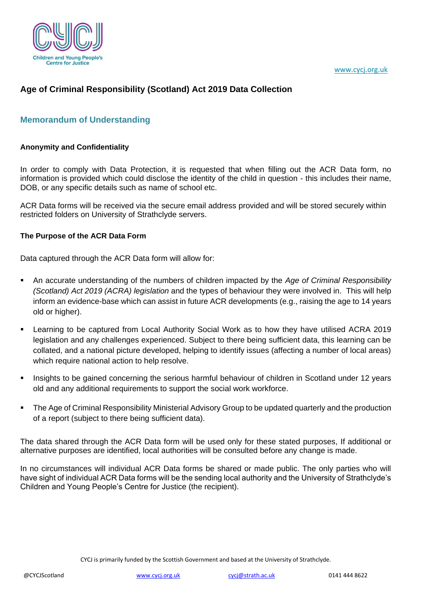



# **Age of Criminal Responsibility (Scotland) Act 2019 Data Collection**

# **Memorandum of Understanding**

#### **Anonymity and Confidentiality**

In order to comply with Data Protection, it is requested that when filling out the ACR Data form, no information is provided which could disclose the identity of the child in question - this includes their name, DOB, or any specific details such as name of school etc.

ACR Data forms will be received via the secure email address provided and will be stored securely within restricted folders on University of Strathclyde servers.

#### **The Purpose of the ACR Data Form**

Data captured through the ACR Data form will allow for:

- An accurate understanding of the numbers of children impacted by the *Age of Criminal Responsibility (Scotland) Act 2019 (ACRA) legislation* and the types of behaviour they were involved in. This will help inform an evidence-base which can assist in future ACR developments (e.g., raising the age to 14 years old or higher).
- Learning to be captured from Local Authority Social Work as to how they have utilised ACRA 2019 legislation and any challenges experienced. Subject to there being sufficient data, this learning can be collated, and a national picture developed, helping to identify issues (affecting a number of local areas) which require national action to help resolve.
- Insights to be gained concerning the serious harmful behaviour of children in Scotland under 12 years old and any additional requirements to support the social work workforce.
- The Age of Criminal Responsibility Ministerial Advisory Group to be updated quarterly and the production of a report (subject to there being sufficient data).

The data shared through the ACR Data form will be used only for these stated purposes, If additional or alternative purposes are identified, local authorities will be consulted before any change is made.

In no circumstances will individual ACR Data forms be shared or made public. The only parties who will have sight of individual ACR Data forms will be the sending local authority and the University of Strathclyde's Children and Young People's Centre for Justice (the recipient).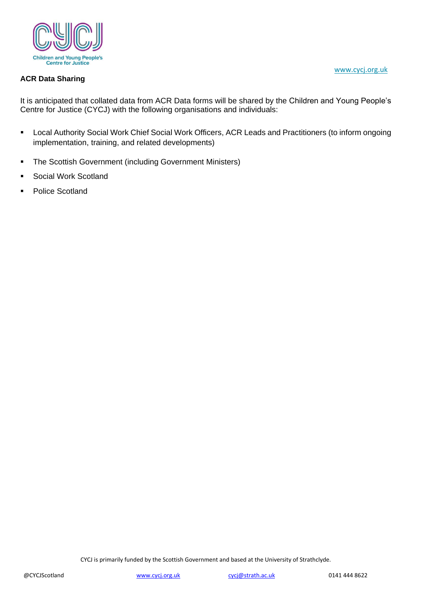

#### **ACR Data Sharing**

It is anticipated that collated data from ACR Data forms will be shared by the Children and Young People's Centre for Justice (CYCJ) with the following organisations and individuals:

- Local Authority Social Work Chief Social Work Officers, ACR Leads and Practitioners (to inform ongoing implementation, training, and related developments)
- The Scottish Government (including Government Ministers)
- Social Work Scotland
- Police Scotland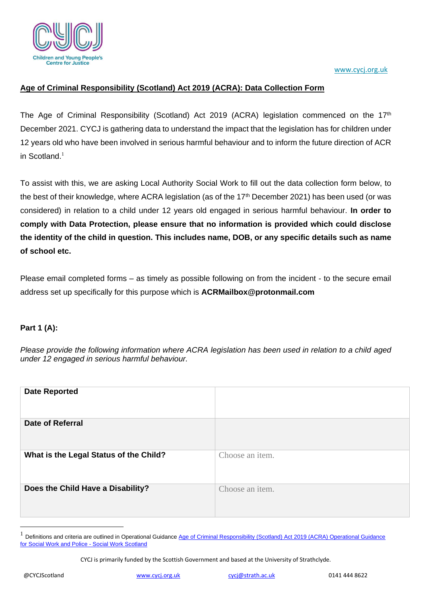

[www.cycj.org.uk](http://www.cycj.org.uk/)

### **Age of Criminal Responsibility (Scotland) Act 2019 (ACRA): Data Collection Form**

The Age of Criminal Responsibility (Scotland) Act 2019 (ACRA) legislation commenced on the  $17<sup>th</sup>$ December 2021. CYCJ is gathering data to understand the impact that the legislation has for children under 12 years old who have been involved in serious harmful behaviour and to inform the future direction of ACR in Scotland. 1

To assist with this, we are asking Local Authority Social Work to fill out the data collection form below, to the best of their knowledge, where ACRA legislation (as of the 17<sup>th</sup> December 2021) has been used (or was considered) in relation to a child under 12 years old engaged in serious harmful behaviour. **In order to comply with Data Protection, please ensure that no information is provided which could disclose the identity of the child in question. This includes name, DOB, or any specific details such as name of school etc.** 

Please email completed forms – as timely as possible following on from the incident - to the secure email address set up specifically for this purpose which is **ACRMailbox@protonmail.com**

### **Part 1 (A):**

*Please provide the following information where ACRA legislation has been used in relation to a child aged under 12 engaged in serious harmful behaviour.*

| <b>Date Reported</b>                   |                 |
|----------------------------------------|-----------------|
| <b>Date of Referral</b>                |                 |
| What is the Legal Status of the Child? | Choose an item. |
| Does the Child Have a Disability?      | Choose an item. |

<sup>1</sup> Definitions and criteria are outlined in Operational Guidance Age of Criminal Responsibility (Scotland) Act 2019 (ACRA) Operational Guidance [for Social Work and Police -](https://socialworkscotland.org/publication/age-of-criminal-responsibility-scotland-act-2019-acra-operational-guidance-for-social-work-and-police/) Social Work Scotland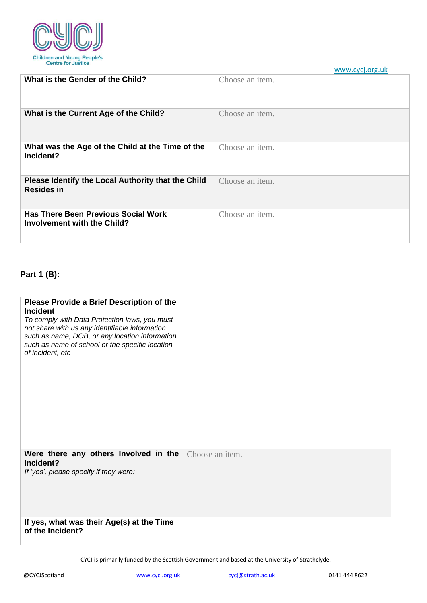

**What is the Gender of the Child?** Choose an item. **What is the Current Age of the Child?** Choose an item. **What was the Age of the Child at the Time of the Incident?** Choose an item. **Please Identify the Local Authority that the Child Resides in** Choose an item. **Has There Been Previous Social Work Involvement with the Child?** Choose an item.

### **Part 1 (B):**

| Please Provide a Brief Description of the<br><b>Incident</b><br>To comply with Data Protection laws, you must<br>not share with us any identifiable information<br>such as name, DOB, or any location information<br>such as name of school or the specific location<br>of incident, etc |                 |
|------------------------------------------------------------------------------------------------------------------------------------------------------------------------------------------------------------------------------------------------------------------------------------------|-----------------|
| Were there any others Involved in the<br>Incident?<br>If 'yes', please specify if they were:                                                                                                                                                                                             | Choose an item. |
| If yes, what was their Age(s) at the Time<br>of the Incident?                                                                                                                                                                                                                            |                 |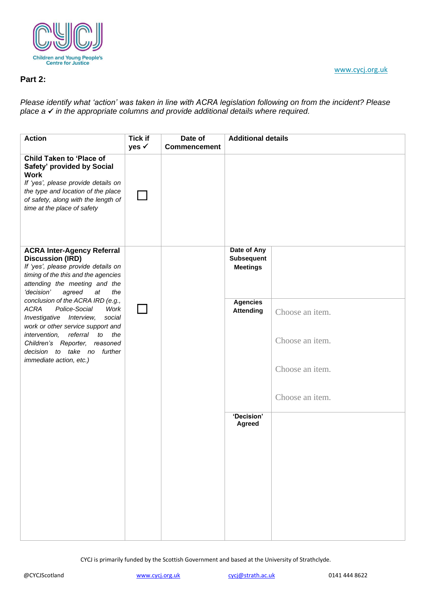

### **Part 2:**

*Please identify what 'action' was taken in line with ACRA legislation following on from the incident? Please place a* ✓ *in the appropriate columns and provide additional details where required.*

| <b>Action</b>                                                                                                                                                                                                                   | <b>Tick if</b><br>yes √ | Date of<br><b>Commencement</b> | <b>Additional details</b>                           |                 |
|---------------------------------------------------------------------------------------------------------------------------------------------------------------------------------------------------------------------------------|-------------------------|--------------------------------|-----------------------------------------------------|-----------------|
| <b>Child Taken to 'Place of</b><br>Safety' provided by Social<br><b>Work</b><br>If 'yes', please provide details on<br>the type and location of the place<br>of safety, along with the length of<br>time at the place of safety |                         |                                |                                                     |                 |
| <b>ACRA Inter-Agency Referral</b><br><b>Discussion (IRD)</b><br>If 'yes', please provide details on<br>timing of the this and the agencies<br>attending the meeting and the<br>'decision'<br>agreed<br>at<br>the                |                         |                                | Date of Any<br><b>Subsequent</b><br><b>Meetings</b> |                 |
| conclusion of the ACRA IRD (e.g.,<br><b>ACRA</b><br>Police-Social<br>Work<br>Investigative Interview,<br>social<br>work or other service support and                                                                            |                         |                                | <b>Agencies</b><br><b>Attending</b>                 | Choose an item. |
| intervention,<br>referral<br>to the<br>Children's Reporter, reasoned<br>decision to take no further<br>immediate action, etc.)                                                                                                  |                         |                                |                                                     | Choose an item. |
|                                                                                                                                                                                                                                 |                         |                                |                                                     | Choose an item. |
|                                                                                                                                                                                                                                 |                         |                                | 'Decision'                                          | Choose an item. |
|                                                                                                                                                                                                                                 |                         |                                | Agreed                                              |                 |
|                                                                                                                                                                                                                                 |                         |                                |                                                     |                 |
|                                                                                                                                                                                                                                 |                         |                                |                                                     |                 |
|                                                                                                                                                                                                                                 |                         |                                |                                                     |                 |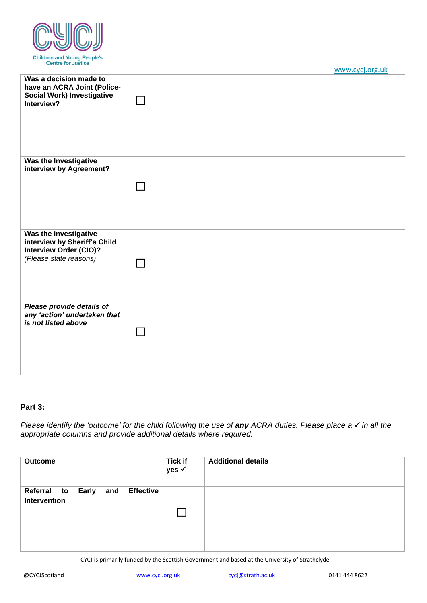

| Was a decision made to<br>have an ACRA Joint (Police-<br><b>Social Work) Investigative</b><br>Interview?         |  |  |
|------------------------------------------------------------------------------------------------------------------|--|--|
| Was the Investigative<br>interview by Agreement?                                                                 |  |  |
| Was the investigative<br>interview by Sheriff's Child<br><b>Interview Order (CIO)?</b><br>(Please state reasons) |  |  |
| Please provide details of<br>any 'action' undertaken that<br>is not listed above                                 |  |  |

#### **Part 3:**

*Please identify the 'outcome' for the child following the use of any ACRA duties. Please place a √ in all the appropriate columns and provide additional details where required.*

| <b>Outcome</b>                                                         | <b>Tick if</b><br>yes √ | <b>Additional details</b> |
|------------------------------------------------------------------------|-------------------------|---------------------------|
| <b>Effective</b><br><b>Early</b><br>Referral to<br>and<br>Intervention |                         |                           |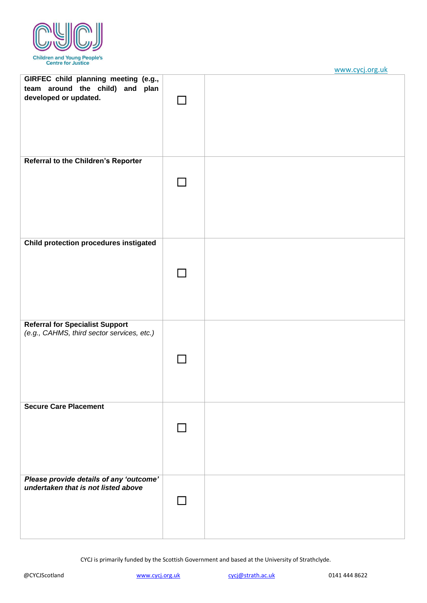

|                                                                                                  | <u>www.cycj.org.un</u> |
|--------------------------------------------------------------------------------------------------|------------------------|
| GIRFEC child planning meeting (e.g.,<br>team around the child) and plan<br>developed or updated. |                        |
| <b>Referral to the Children's Reporter</b>                                                       |                        |
|                                                                                                  |                        |
| <b>Child protection procedures instigated</b>                                                    |                        |
|                                                                                                  |                        |
| <b>Referral for Specialist Support</b><br>(e.g., CAHMS, third sector services, etc.)             |                        |
| <b>Secure Care Placement</b>                                                                     |                        |
| Please provide details of any 'outcome'<br>undertaken that is not listed above                   |                        |